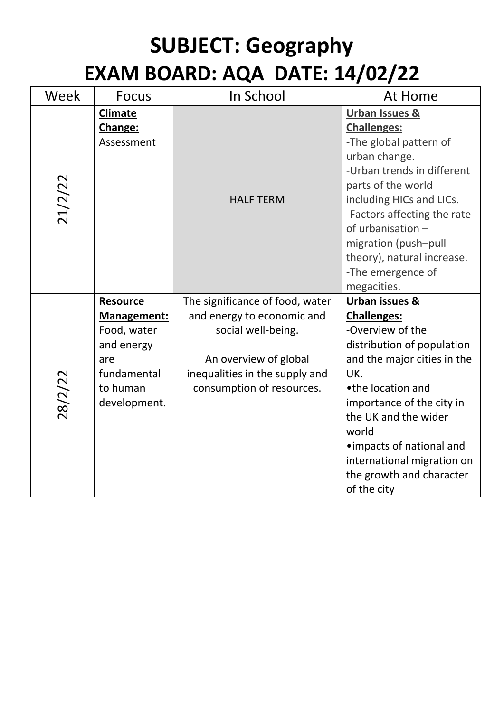## **SUBJECT: Geography EXAM BOARD: AQA DATE: 14/02/22**

| Week    | <b>Focus</b>                                                                                                  | In School                                                                                                                                                                   | At Home                                                                                                                                                                                                                                                                                                                          |
|---------|---------------------------------------------------------------------------------------------------------------|-----------------------------------------------------------------------------------------------------------------------------------------------------------------------------|----------------------------------------------------------------------------------------------------------------------------------------------------------------------------------------------------------------------------------------------------------------------------------------------------------------------------------|
| 21/2/22 | <b>Climate</b><br>Change:<br>Assessment                                                                       | <b>HALF TERM</b>                                                                                                                                                            | <b>Urban Issues &amp;</b><br><b>Challenges:</b><br>-The global pattern of<br>urban change.<br>-Urban trends in different<br>parts of the world<br>including HICs and LICs.<br>-Factors affecting the rate<br>of urbanisation -<br>migration (push-pull<br>theory), natural increase.<br>-The emergence of<br>megacities.         |
| 28/2/22 | Resource<br><b>Management:</b><br>Food, water<br>and energy<br>are<br>fundamental<br>to human<br>development. | The significance of food, water<br>and energy to economic and<br>social well-being.<br>An overview of global<br>inequalities in the supply and<br>consumption of resources. | <b>Urban issues &amp;</b><br><b>Challenges:</b><br>-Overview of the<br>distribution of population<br>and the major cities in the<br>UK.<br>•the location and<br>importance of the city in<br>the UK and the wider<br>world<br>• impacts of national and<br>international migration on<br>the growth and character<br>of the city |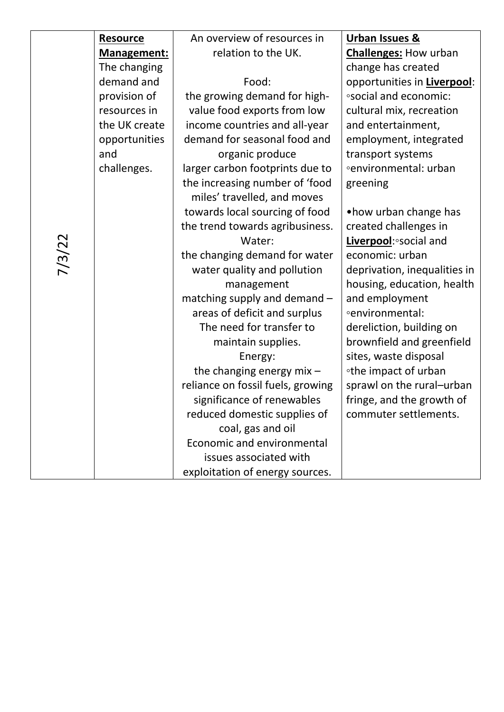|        | <b>Resource</b> | An overview of resources in       | <b>Urban Issues &amp;</b>    |
|--------|-----------------|-----------------------------------|------------------------------|
|        | Management:     | relation to the UK.               | <b>Challenges: How urban</b> |
|        | The changing    |                                   | change has created           |
|        | demand and      | Food:                             | opportunities in Liverpool:  |
|        | provision of    | the growing demand for high-      | <b>osocial and economic:</b> |
|        | resources in    | value food exports from low       | cultural mix, recreation     |
|        | the UK create   | income countries and all-year     | and entertainment,           |
|        | opportunities   | demand for seasonal food and      | employment, integrated       |
|        | and             | organic produce                   | transport systems            |
|        | challenges.     | larger carbon footprints due to   | ∘environmental: urban        |
|        |                 | the increasing number of 'food    | greening                     |
|        |                 | miles' travelled, and moves       |                              |
|        |                 | towards local sourcing of food    | • how urban change has       |
|        |                 | the trend towards agribusiness.   | created challenges in        |
| 7/3/22 |                 | Water:                            | Liverpool: social and        |
|        |                 | the changing demand for water     | economic: urban              |
|        |                 | water quality and pollution       | deprivation, inequalities in |
|        |                 | management                        | housing, education, health   |
|        |                 | matching supply and demand -      | and employment               |
|        |                 | areas of deficit and surplus      | <b>environmental:</b>        |
|        |                 | The need for transfer to          | dereliction, building on     |
|        |                 | maintain supplies.                | brownfield and greenfield    |
|        |                 | Energy:                           | sites, waste disposal        |
|        |                 | the changing energy $mix -$       | •the impact of urban         |
|        |                 | reliance on fossil fuels, growing | sprawl on the rural-urban    |
|        |                 | significance of renewables        | fringe, and the growth of    |
|        |                 | reduced domestic supplies of      | commuter settlements.        |
|        |                 | coal, gas and oil                 |                              |
|        |                 | Economic and environmental        |                              |
|        |                 | issues associated with            |                              |
|        |                 | exploitation of energy sources.   |                              |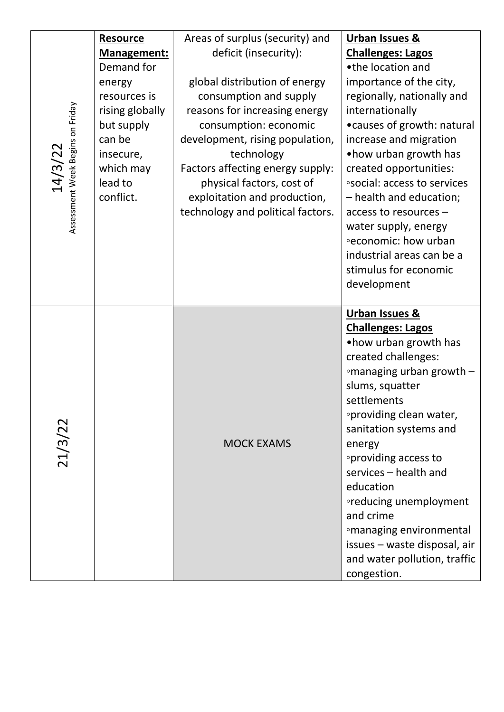| Assessment Week Begins on Friday<br>14/3/22 | <b>Resource</b><br>Management:<br>Demand for<br>energy<br>resources is<br>rising globally<br>but supply<br>can be<br>insecure,<br>which may<br>lead to<br>conflict. | Areas of surplus (security) and<br>deficit (insecurity):<br>global distribution of energy<br>consumption and supply<br>reasons for increasing energy<br>consumption: economic<br>development, rising population,<br>technology<br>Factors affecting energy supply:<br>physical factors, cost of<br>exploitation and production,<br>technology and political factors. | <b>Urban Issues &amp;</b><br><b>Challenges: Lagos</b><br>•the location and<br>importance of the city,<br>regionally, nationally and<br>internationally<br>• causes of growth: natural<br>increase and migration<br>• how urban growth has<br>created opportunities:<br><b>osocial: access to services</b><br>- health and education;<br>access to resources -<br>water supply, energy<br><b>economic:</b> how urban<br>industrial areas can be a<br>stimulus for economic<br>development |
|---------------------------------------------|---------------------------------------------------------------------------------------------------------------------------------------------------------------------|----------------------------------------------------------------------------------------------------------------------------------------------------------------------------------------------------------------------------------------------------------------------------------------------------------------------------------------------------------------------|------------------------------------------------------------------------------------------------------------------------------------------------------------------------------------------------------------------------------------------------------------------------------------------------------------------------------------------------------------------------------------------------------------------------------------------------------------------------------------------|
| 21/3/22                                     |                                                                                                                                                                     | <b>MOCK EXAMS</b>                                                                                                                                                                                                                                                                                                                                                    | Urban Issues &<br><b>Challenges: Lagos</b><br>• how urban growth has<br>created challenges:<br>∘managing urban growth -<br>slums, squatter<br>settlements<br>oproviding clean water,<br>sanitation systems and<br>energy<br>∘providing access to<br>services - health and<br>education<br>oreducing unemployment<br>and crime<br><sup>o</sup> managing environmental<br>issues - waste disposal, air<br>and water pollution, traffic<br>congestion.                                      |